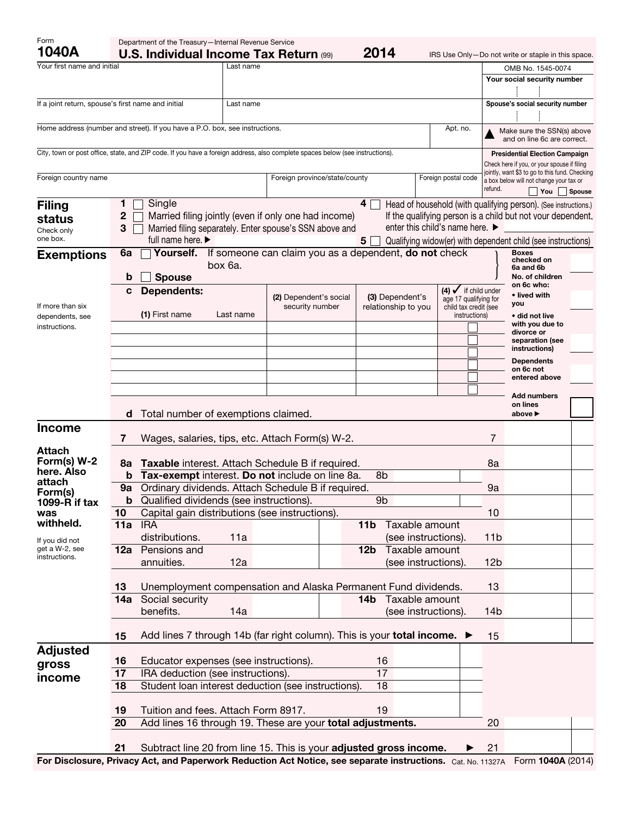| Form<br>1040A                                                                                                                 |                                                   | Department of the Treasury-Internal Revenue Service<br>2014<br><b>U.S. Individual Income Tax Return (99)</b><br>IRS Use Only-Do not write or staple in this space. |           |                                                                                                                 |                                        |                                                                                     |               |                                                           |                                                                                                  |               |
|-------------------------------------------------------------------------------------------------------------------------------|---------------------------------------------------|--------------------------------------------------------------------------------------------------------------------------------------------------------------------|-----------|-----------------------------------------------------------------------------------------------------------------|----------------------------------------|-------------------------------------------------------------------------------------|---------------|-----------------------------------------------------------|--------------------------------------------------------------------------------------------------|---------------|
| Your first name and initial                                                                                                   |                                                   |                                                                                                                                                                    | Last name |                                                                                                                 |                                        |                                                                                     |               |                                                           | OMB No. 1545-0074                                                                                |               |
|                                                                                                                               |                                                   |                                                                                                                                                                    |           |                                                                                                                 |                                        |                                                                                     |               |                                                           | Your social security number                                                                      |               |
| If a joint return, spouse's first name and initial                                                                            |                                                   |                                                                                                                                                                    | Last name |                                                                                                                 |                                        |                                                                                     |               |                                                           | Spouse's social security number                                                                  |               |
|                                                                                                                               |                                                   | Home address (number and street). If you have a P.O. box, see instructions.                                                                                        |           |                                                                                                                 |                                        | Apt. no.                                                                            |               | Make sure the SSN(s) above<br>and on line 6c are correct. |                                                                                                  |               |
| City, town or post office, state, and ZIP code. If you have a foreign address, also complete spaces below (see instructions). |                                                   |                                                                                                                                                                    |           |                                                                                                                 |                                        |                                                                                     |               |                                                           | <b>Presidential Election Campaign</b><br>Check here if you, or your spouse if filing             |               |
| Foreign country name                                                                                                          |                                                   |                                                                                                                                                                    |           | Foreign province/state/county                                                                                   |                                        | Foreign postal code                                                                 |               | refund.                                                   | jointly, want \$3 to go to this fund. Checking<br>a box below will not change your tax or<br>You | <b>Spouse</b> |
| <b>Filing</b>                                                                                                                 | 1                                                 | Single                                                                                                                                                             |           |                                                                                                                 | $4\Box$                                |                                                                                     |               |                                                           | Head of household (with qualifying person). (See instructions.)                                  |               |
| status<br>Check only<br>one box.                                                                                              | $\mathbf 2$<br>3                                  | full name here.                                                                                                                                                    |           | Married filing jointly (even if only one had income)<br>Married filing separately. Enter spouse's SSN above and |                                        | enter this child's name here. ▶                                                     |               |                                                           | If the qualifying person is a child but not your dependent.                                      |               |
| <b>Exemptions</b>                                                                                                             | 6a                                                | Yourself.                                                                                                                                                          |           | If someone can claim you as a dependent, do not check                                                           | 5                                      |                                                                                     |               |                                                           | Qualifying widow(er) with dependent child (see instructions)<br><b>Boxes</b><br>checked on       |               |
|                                                                                                                               | b                                                 | box 6a.<br><b>Spouse</b>                                                                                                                                           |           |                                                                                                                 |                                        |                                                                                     |               |                                                           | 6a and 6b<br>No. of children                                                                     |               |
| If more than six<br>dependents, see<br>instructions.                                                                          | c                                                 | <b>Dependents:</b>                                                                                                                                                 |           | (2) Dependent's social<br>security number                                                                       | (3) Dependent's<br>relationship to you | $(4)$ $\checkmark$ if child under<br>age 17 qualifying for<br>child tax credit (see |               |                                                           | on 6c who:<br>• lived with<br>you                                                                |               |
|                                                                                                                               |                                                   | (1) First name                                                                                                                                                     | Last name |                                                                                                                 |                                        |                                                                                     | instructions) |                                                           | • did not live<br>with you due to<br>divorce or                                                  |               |
|                                                                                                                               |                                                   |                                                                                                                                                                    |           |                                                                                                                 |                                        |                                                                                     |               |                                                           | separation (see<br>instructions)<br><b>Dependents</b>                                            |               |
|                                                                                                                               |                                                   |                                                                                                                                                                    |           |                                                                                                                 |                                        |                                                                                     |               |                                                           | on 6c not<br>entered above                                                                       |               |
|                                                                                                                               | d                                                 | Total number of exemptions claimed.                                                                                                                                |           |                                                                                                                 |                                        |                                                                                     |               |                                                           | <b>Add numbers</b><br>on lines<br>above ▶                                                        |               |
| <b>Income</b>                                                                                                                 |                                                   |                                                                                                                                                                    |           |                                                                                                                 |                                        |                                                                                     |               | 7                                                         |                                                                                                  |               |
| Attach                                                                                                                        | 7                                                 |                                                                                                                                                                    |           | Wages, salaries, tips, etc. Attach Form(s) W-2.                                                                 |                                        |                                                                                     |               |                                                           |                                                                                                  |               |
| Form(s) W-2                                                                                                                   | 8a                                                |                                                                                                                                                                    |           | Taxable interest. Attach Schedule B if required.                                                                |                                        |                                                                                     |               | 8a                                                        |                                                                                                  |               |
| here. Also                                                                                                                    | b                                                 | Tax-exempt interest. Do not include on line 8a.<br>8b                                                                                                              |           |                                                                                                                 |                                        |                                                                                     |               |                                                           |                                                                                                  |               |
| attach<br>Form(s)                                                                                                             | 9a                                                |                                                                                                                                                                    |           | Ordinary dividends. Attach Schedule B if required.                                                              |                                        |                                                                                     |               | 9a                                                        |                                                                                                  |               |
| 1099-R if tax                                                                                                                 | b                                                 | Qualified dividends (see instructions).                                                                                                                            |           |                                                                                                                 | 9 <sub>b</sub>                         |                                                                                     |               |                                                           |                                                                                                  |               |
| was                                                                                                                           | 10                                                | Capital gain distributions (see instructions).                                                                                                                     |           |                                                                                                                 |                                        |                                                                                     |               | 10                                                        |                                                                                                  |               |
| withheld.                                                                                                                     | 11a                                               | <b>IRA</b>                                                                                                                                                         |           |                                                                                                                 | Taxable amount<br>11 <sub>b</sub>      |                                                                                     |               |                                                           |                                                                                                  |               |
| If you did not                                                                                                                |                                                   | distributions.                                                                                                                                                     | 11a       |                                                                                                                 |                                        | (see instructions).                                                                 |               | 11 <sub>b</sub>                                           |                                                                                                  |               |
| get a W-2, see<br>instructions.                                                                                               | 12a                                               | Pensions and                                                                                                                                                       |           |                                                                                                                 | Taxable amount<br>12 <sub>b</sub>      |                                                                                     |               |                                                           |                                                                                                  |               |
|                                                                                                                               |                                                   | annuities.                                                                                                                                                         | 12a       |                                                                                                                 |                                        | (see instructions).                                                                 |               | 12 <sub>b</sub>                                           |                                                                                                  |               |
|                                                                                                                               |                                                   |                                                                                                                                                                    |           |                                                                                                                 |                                        |                                                                                     |               |                                                           |                                                                                                  |               |
|                                                                                                                               | 13                                                |                                                                                                                                                                    |           | Unemployment compensation and Alaska Permanent Fund dividends.                                                  | Taxable amount<br>14 <sub>b</sub>      |                                                                                     |               | 13                                                        |                                                                                                  |               |
|                                                                                                                               | 14a                                               | Social security<br>benefits.                                                                                                                                       | 14a       |                                                                                                                 |                                        | (see instructions).                                                                 |               | 14b                                                       |                                                                                                  |               |
|                                                                                                                               |                                                   |                                                                                                                                                                    |           | Add lines 7 through 14b (far right column). This is your total income. ▶                                        |                                        |                                                                                     |               |                                                           |                                                                                                  |               |
|                                                                                                                               | 15                                                |                                                                                                                                                                    |           |                                                                                                                 |                                        |                                                                                     |               | 15                                                        |                                                                                                  |               |
| <b>Adjusted</b>                                                                                                               | Educator expenses (see instructions).<br>16<br>16 |                                                                                                                                                                    |           |                                                                                                                 |                                        |                                                                                     |               |                                                           |                                                                                                  |               |
| gross                                                                                                                         | 17                                                | 17<br>IRA deduction (see instructions).                                                                                                                            |           |                                                                                                                 |                                        |                                                                                     |               |                                                           |                                                                                                  |               |
| income                                                                                                                        | 18                                                |                                                                                                                                                                    |           | Student loan interest deduction (see instructions).                                                             | 18                                     |                                                                                     |               |                                                           |                                                                                                  |               |
|                                                                                                                               |                                                   |                                                                                                                                                                    |           |                                                                                                                 |                                        |                                                                                     |               |                                                           |                                                                                                  |               |
|                                                                                                                               | 19                                                | Tuition and fees. Attach Form 8917.                                                                                                                                |           |                                                                                                                 | 19                                     |                                                                                     |               |                                                           |                                                                                                  |               |
|                                                                                                                               | 20                                                |                                                                                                                                                                    |           | Add lines 16 through 19. These are your total adjustments.                                                      |                                        |                                                                                     |               | 20                                                        |                                                                                                  |               |
|                                                                                                                               | 21                                                |                                                                                                                                                                    |           | Subtract line 20 from line 15. This is your adjusted gross income.                                              |                                        |                                                                                     |               | 21                                                        | $AAAA$ $(001A$                                                                                   |               |

For Disclosure, Privacy Act, and Paperwork Reduction Act Notice, see separate instructions. Cat. No. 11327A Form 1040A (2014)